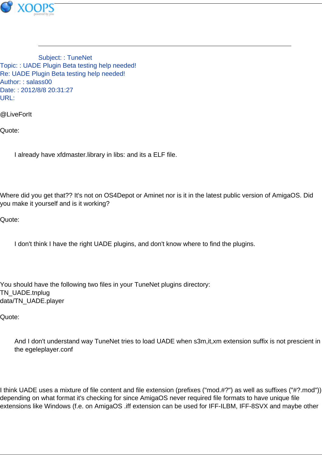

Subject: : TuneNet Topic: : UADE Plugin Beta testing help needed! Re: UADE Plugin Beta testing help needed! Author: : salass00 Date: : 2012/8/8 20:31:27 URL:

@LiveForIt

Quote:

I already have xfdmaster.library in libs: and its a ELF file.

Where did you get that?? It's not on OS4Depot or Aminet nor is it in the latest public version of AmigaOS. Did you make it yourself and is it working?

Quote:

I don't think I have the right UADE plugins, and don't know where to find the plugins.

You should have the following two files in your TuneNet plugins directory: TN\_UADE.tnplug data/TN\_UADE.player

Quote:

And I don't understand way TuneNet tries to load UADE when s3m,it,xm extension suffix is not prescient in the egeleplayer.conf

I think UADE uses a mixture of file content and file extension (prefixes ("mod.#?") as well as suffixes ("#?.mod")) depending on what format it's checking for since AmigaOS never required file formats to have unique file extensions like Windows (f.e. on AmigaOS .iff extension can be used for IFF-ILBM, IFF-8SVX and maybe other